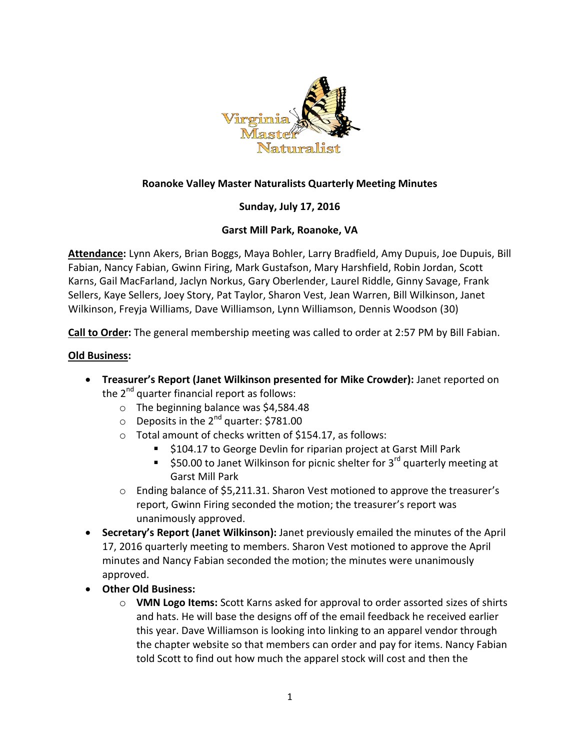

## **Roanoke Valley Master Naturalists Quarterly Meeting Minutes**

# **Sunday, July 17, 2016**

### **Garst Mill Park, Roanoke, VA**

**Attendance:** Lynn Akers, Brian Boggs, Maya Bohler, Larry Bradfield, Amy Dupuis, Joe Dupuis, Bill Fabian, Nancy Fabian, Gwinn Firing, Mark Gustafson, Mary Harshfield, Robin Jordan, Scott Karns, Gail MacFarland, Jaclyn Norkus, Gary Oberlender, Laurel Riddle, Ginny Savage, Frank Sellers, Kaye Sellers, Joey Story, Pat Taylor, Sharon Vest, Jean Warren, Bill Wilkinson, Janet Wilkinson, Freyja Williams, Dave Williamson, Lynn Williamson, Dennis Woodson (30)

**Call to Order:** The general membership meeting was called to order at 2:57 PM by Bill Fabian.

### **Old Business:**

- **Treasurer's Report (Janet Wilkinson presented for Mike Crowder):** Janet reported on the 2<sup>nd</sup> quarter financial report as follows:
	- o The beginning balance was \$4,584.48
	- $\circ$  Deposits in the 2<sup>nd</sup> quarter: \$781.00
	- o Total amount of checks written of \$154.17, as follows:
		- \$104.17 to George Devlin for riparian project at Garst Mill Park
		- $\overline{\phantom{a}}$  \$50.00 to Janet Wilkinson for picnic shelter for 3<sup>rd</sup> quarterly meeting at Garst Mill Park
	- $\circ$  Ending balance of \$5,211.31. Sharon Vest motioned to approve the treasurer's report, Gwinn Firing seconded the motion; the treasurer's report was unanimously approved.
- **Secretary's Report (Janet Wilkinson):** Janet previously emailed the minutes of the April 17, 2016 quarterly meeting to members. Sharon Vest motioned to approve the April minutes and Nancy Fabian seconded the motion; the minutes were unanimously approved.
- **Other Old Business:**
	- o **VMN Logo Items:** Scott Karns asked for approval to order assorted sizes of shirts and hats. He will base the designs off of the email feedback he received earlier this year. Dave Williamson is looking into linking to an apparel vendor through the chapter website so that members can order and pay for items. Nancy Fabian told Scott to find out how much the apparel stock will cost and then the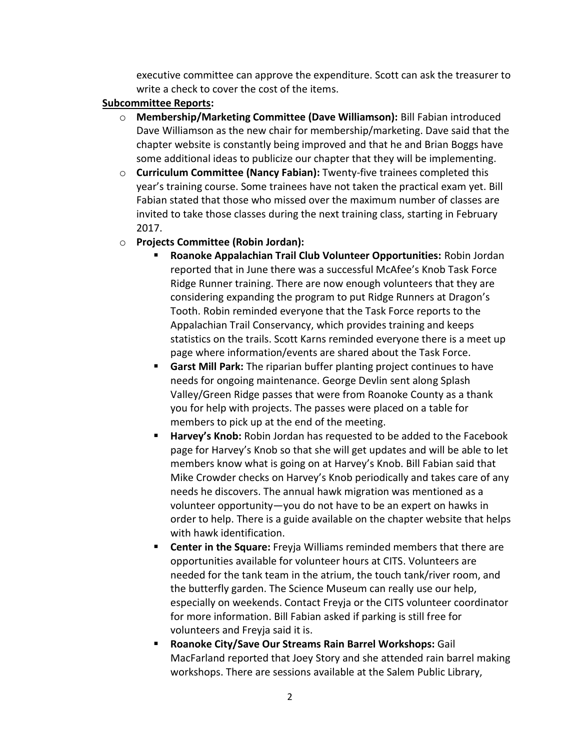executive committee can approve the expenditure. Scott can ask the treasurer to write a check to cover the cost of the items.

#### **Subcommittee Reports:**

- o **Membership/Marketing Committee (Dave Williamson):** Bill Fabian introduced Dave Williamson as the new chair for membership/marketing. Dave said that the chapter website is constantly being improved and that he and Brian Boggs have some additional ideas to publicize our chapter that they will be implementing.
- o **Curriculum Committee (Nancy Fabian):** Twenty-five trainees completed this year's training course. Some trainees have not taken the practical exam yet. Bill Fabian stated that those who missed over the maximum number of classes are invited to take those classes during the next training class, starting in February 2017.
- o **Projects Committee (Robin Jordan):**
	- **Roanoke Appalachian Trail Club Volunteer Opportunities:** Robin Jordan reported that in June there was a successful McAfee's Knob Task Force Ridge Runner training. There are now enough volunteers that they are considering expanding the program to put Ridge Runners at Dragon's Tooth. Robin reminded everyone that the Task Force reports to the Appalachian Trail Conservancy, which provides training and keeps statistics on the trails. Scott Karns reminded everyone there is a meet up page where information/events are shared about the Task Force.
	- **Garst Mill Park:** The riparian buffer planting project continues to have needs for ongoing maintenance. George Devlin sent along Splash Valley/Green Ridge passes that were from Roanoke County as a thank you for help with projects. The passes were placed on a table for members to pick up at the end of the meeting.
	- **Harvey's Knob:** Robin Jordan has requested to be added to the Facebook page for Harvey's Knob so that she will get updates and will be able to let members know what is going on at Harvey's Knob. Bill Fabian said that Mike Crowder checks on Harvey's Knob periodically and takes care of any needs he discovers. The annual hawk migration was mentioned as a volunteer opportunity—you do not have to be an expert on hawks in order to help. There is a guide available on the chapter website that helps with hawk identification.
	- **Center in the Square:** Freyja Williams reminded members that there are opportunities available for volunteer hours at CITS. Volunteers are needed for the tank team in the atrium, the touch tank/river room, and the butterfly garden. The Science Museum can really use our help, especially on weekends. Contact Freyja or the CITS volunteer coordinator for more information. Bill Fabian asked if parking is still free for volunteers and Freyja said it is.
	- **Roanoke City/Save Our Streams Rain Barrel Workshops:** Gail MacFarland reported that Joey Story and she attended rain barrel making workshops. There are sessions available at the Salem Public Library,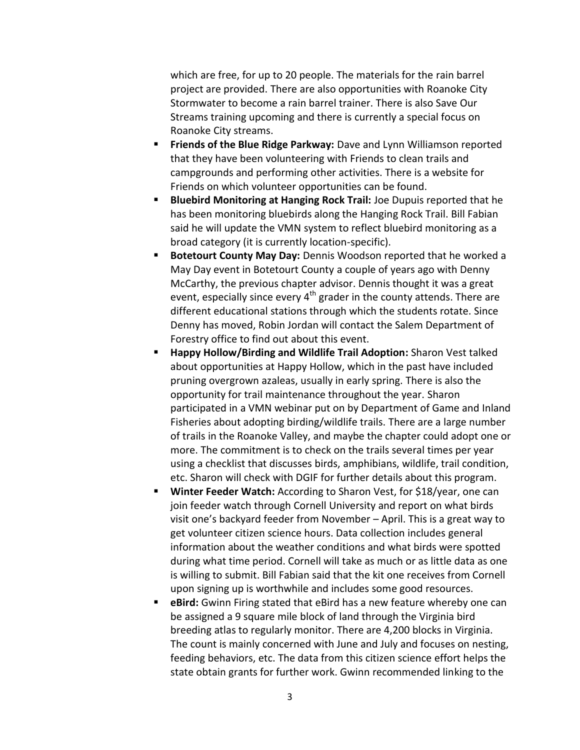which are free, for up to 20 people. The materials for the rain barrel project are provided. There are also opportunities with Roanoke City Stormwater to become a rain barrel trainer. There is also Save Our Streams training upcoming and there is currently a special focus on Roanoke City streams.

- **Friends of the Blue Ridge Parkway:** Dave and Lynn Williamson reported that they have been volunteering with Friends to clean trails and campgrounds and performing other activities. There is a website for Friends on which volunteer opportunities can be found.
- **Bluebird Monitoring at Hanging Rock Trail:** Joe Dupuis reported that he has been monitoring bluebirds along the Hanging Rock Trail. Bill Fabian said he will update the VMN system to reflect bluebird monitoring as a broad category (it is currently location-specific).
- **Botetourt County May Day:** Dennis Woodson reported that he worked a May Day event in Botetourt County a couple of years ago with Denny McCarthy, the previous chapter advisor. Dennis thought it was a great event, especially since every  $4<sup>th</sup>$  grader in the county attends. There are different educational stations through which the students rotate. Since Denny has moved, Robin Jordan will contact the Salem Department of Forestry office to find out about this event.
- **Happy Hollow/Birding and Wildlife Trail Adoption:** Sharon Vest talked about opportunities at Happy Hollow, which in the past have included pruning overgrown azaleas, usually in early spring. There is also the opportunity for trail maintenance throughout the year. Sharon participated in a VMN webinar put on by Department of Game and Inland Fisheries about adopting birding/wildlife trails. There are a large number of trails in the Roanoke Valley, and maybe the chapter could adopt one or more. The commitment is to check on the trails several times per year using a checklist that discusses birds, amphibians, wildlife, trail condition, etc. Sharon will check with DGIF for further details about this program.
- **Winter Feeder Watch:** According to Sharon Vest, for \$18/year, one can join feeder watch through Cornell University and report on what birds visit one's backyard feeder from November – April. This is a great way to get volunteer citizen science hours. Data collection includes general information about the weather conditions and what birds were spotted during what time period. Cornell will take as much or as little data as one is willing to submit. Bill Fabian said that the kit one receives from Cornell upon signing up is worthwhile and includes some good resources.
- **eBird:** Gwinn Firing stated that eBird has a new feature whereby one can be assigned a 9 square mile block of land through the Virginia bird breeding atlas to regularly monitor. There are 4,200 blocks in Virginia. The count is mainly concerned with June and July and focuses on nesting, feeding behaviors, etc. The data from this citizen science effort helps the state obtain grants for further work. Gwinn recommended linking to the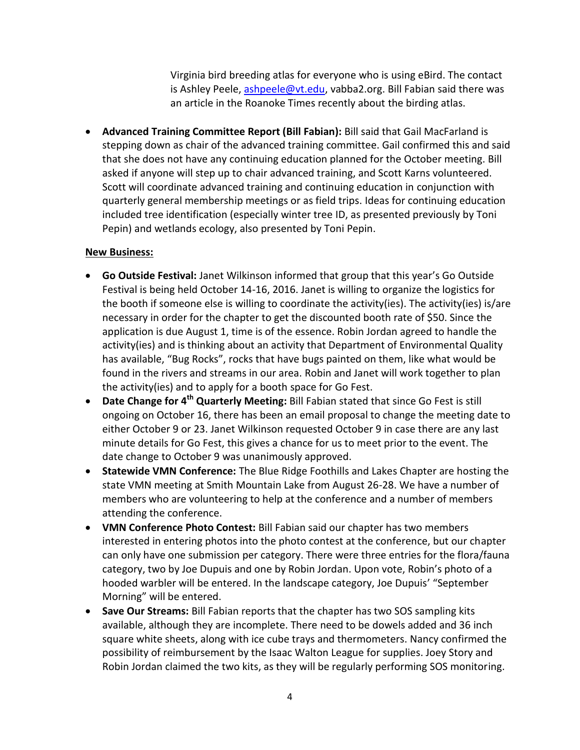Virginia bird breeding atlas for everyone who is using eBird. The contact is Ashley Peele, [ashpeele@vt.edu,](mailto:ashpeele@vt.edu) vabba2.org. Bill Fabian said there was an article in the Roanoke Times recently about the birding atlas.

 **Advanced Training Committee Report (Bill Fabian):** Bill said that Gail MacFarland is stepping down as chair of the advanced training committee. Gail confirmed this and said that she does not have any continuing education planned for the October meeting. Bill asked if anyone will step up to chair advanced training, and Scott Karns volunteered. Scott will coordinate advanced training and continuing education in conjunction with quarterly general membership meetings or as field trips. Ideas for continuing education included tree identification (especially winter tree ID, as presented previously by Toni Pepin) and wetlands ecology, also presented by Toni Pepin.

### **New Business:**

- **Go Outside Festival:** Janet Wilkinson informed that group that this year's Go Outside Festival is being held October 14-16, 2016. Janet is willing to organize the logistics for the booth if someone else is willing to coordinate the activity(ies). The activity(ies) is/are necessary in order for the chapter to get the discounted booth rate of \$50. Since the application is due August 1, time is of the essence. Robin Jordan agreed to handle the activity(ies) and is thinking about an activity that Department of Environmental Quality has available, "Bug Rocks", rocks that have bugs painted on them, like what would be found in the rivers and streams in our area. Robin and Janet will work together to plan the activity(ies) and to apply for a booth space for Go Fest.
- **Date Change for 4th Quarterly Meeting:** Bill Fabian stated that since Go Fest is still ongoing on October 16, there has been an email proposal to change the meeting date to either October 9 or 23. Janet Wilkinson requested October 9 in case there are any last minute details for Go Fest, this gives a chance for us to meet prior to the event. The date change to October 9 was unanimously approved.
- **Statewide VMN Conference:** The Blue Ridge Foothills and Lakes Chapter are hosting the state VMN meeting at Smith Mountain Lake from August 26-28. We have a number of members who are volunteering to help at the conference and a number of members attending the conference.
- **VMN Conference Photo Contest:** Bill Fabian said our chapter has two members interested in entering photos into the photo contest at the conference, but our chapter can only have one submission per category. There were three entries for the flora/fauna category, two by Joe Dupuis and one by Robin Jordan. Upon vote, Robin's photo of a hooded warbler will be entered. In the landscape category, Joe Dupuis' "September Morning" will be entered.
- **Save Our Streams:** Bill Fabian reports that the chapter has two SOS sampling kits available, although they are incomplete. There need to be dowels added and 36 inch square white sheets, along with ice cube trays and thermometers. Nancy confirmed the possibility of reimbursement by the Isaac Walton League for supplies. Joey Story and Robin Jordan claimed the two kits, as they will be regularly performing SOS monitoring.